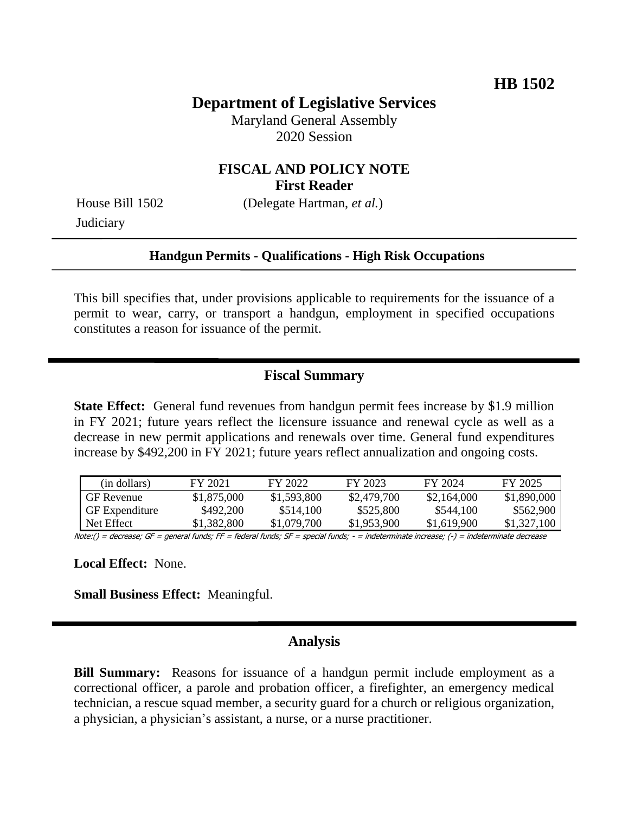#### **Department of Legislative Services**

Maryland General Assembly 2020 Session

#### **FISCAL AND POLICY NOTE First Reader**

**Judiciary** 

House Bill 1502 (Delegate Hartman, *et al.*)

#### **Handgun Permits - Qualifications - High Risk Occupations**

This bill specifies that, under provisions applicable to requirements for the issuance of a permit to wear, carry, or transport a handgun, employment in specified occupations constitutes a reason for issuance of the permit.

### **Fiscal Summary**

**State Effect:** General fund revenues from handgun permit fees increase by \$1.9 million in FY 2021; future years reflect the licensure issuance and renewal cycle as well as a decrease in new permit applications and renewals over time. General fund expenditures increase by \$492,200 in FY 2021; future years reflect annualization and ongoing costs.

| (in dollars)          | FY 2021     | FY 2022     | FY 2023     | FY 2024     | FY 2025     |
|-----------------------|-------------|-------------|-------------|-------------|-------------|
| <b>GF</b> Revenue     | \$1,875,000 | \$1,593,800 | \$2,479,700 | \$2,164,000 | \$1,890,000 |
| <b>GF</b> Expenditure | \$492,200   | \$514,100   | \$525,800   | \$544,100   | \$562,900   |
| Net Effect            | \$1.382.800 | \$1,079,700 | \$1,953,900 | \$1,619,900 | \$1,327,100 |

Note:() = decrease; GF = general funds; FF = federal funds; SF = special funds; - = indeterminate increase; (-) = indeterminate decrease

**Local Effect:** None.

**Small Business Effect:** Meaningful.

#### **Analysis**

**Bill Summary:** Reasons for issuance of a handgun permit include employment as a correctional officer, a parole and probation officer, a firefighter, an emergency medical technician, a rescue squad member, a security guard for a church or religious organization, a physician, a physician's assistant, a nurse, or a nurse practitioner.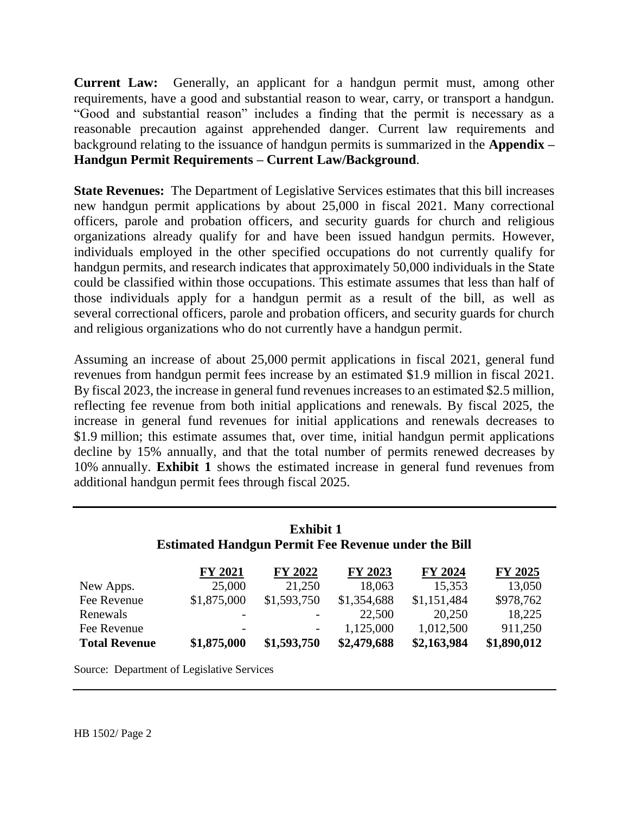**Current Law:** Generally, an applicant for a handgun permit must, among other requirements, have a good and substantial reason to wear, carry, or transport a handgun. "Good and substantial reason" includes a finding that the permit is necessary as a reasonable precaution against apprehended danger. Current law requirements and background relating to the issuance of handgun permits is summarized in the **Appendix – Handgun Permit Requirements – Current Law/Background**.

**State Revenues:** The Department of Legislative Services estimates that this bill increases new handgun permit applications by about 25,000 in fiscal 2021. Many correctional officers, parole and probation officers, and security guards for church and religious organizations already qualify for and have been issued handgun permits. However, individuals employed in the other specified occupations do not currently qualify for handgun permits, and research indicates that approximately 50,000 individuals in the State could be classified within those occupations. This estimate assumes that less than half of those individuals apply for a handgun permit as a result of the bill, as well as several correctional officers, parole and probation officers, and security guards for church and religious organizations who do not currently have a handgun permit.

Assuming an increase of about 25,000 permit applications in fiscal 2021, general fund revenues from handgun permit fees increase by an estimated \$1.9 million in fiscal 2021. By fiscal 2023, the increase in general fund revenues increases to an estimated \$2.5 million, reflecting fee revenue from both initial applications and renewals. By fiscal 2025, the increase in general fund revenues for initial applications and renewals decreases to \$1.9 million; this estimate assumes that, over time, initial handgun permit applications decline by 15% annually, and that the total number of permits renewed decreases by 10% annually. **Exhibit 1** shows the estimated increase in general fund revenues from additional handgun permit fees through fiscal 2025.

| <b>Exhibit 1</b>                                           |
|------------------------------------------------------------|
| <b>Estimated Handgun Permit Fee Revenue under the Bill</b> |

|                      | FY 2021                  | <b>FY 2022</b>           | FY 2023     | FY 2024     | FY 2025     |
|----------------------|--------------------------|--------------------------|-------------|-------------|-------------|
| New Apps.            | 25,000                   | 21,250                   | 18,063      | 15,353      | 13,050      |
| Fee Revenue          | \$1,875,000              | \$1,593,750              | \$1,354,688 | \$1,151,484 | \$978,762   |
| Renewals             | $\overline{\phantom{a}}$ | $\overline{\phantom{a}}$ | 22,500      | 20,250      | 18,225      |
| Fee Revenue          | $\overline{\phantom{a}}$ | $\overline{\phantom{a}}$ | 1,125,000   | 1,012,500   | 911,250     |
| <b>Total Revenue</b> | \$1,875,000              | \$1,593,750              | \$2,479,688 | \$2,163,984 | \$1,890,012 |

Source: Department of Legislative Services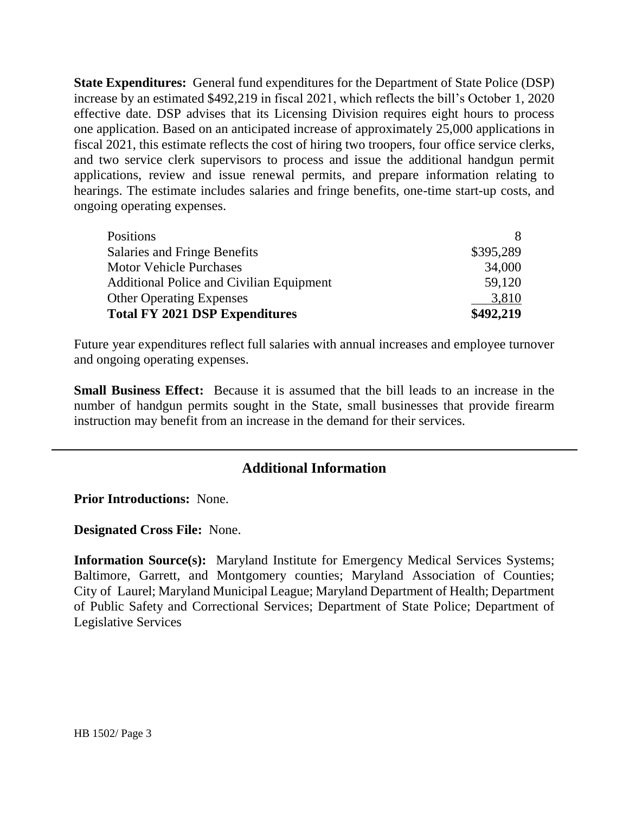**State Expenditures:** General fund expenditures for the Department of State Police (DSP) increase by an estimated \$492,219 in fiscal 2021, which reflects the bill's October 1, 2020 effective date. DSP advises that its Licensing Division requires eight hours to process one application. Based on an anticipated increase of approximately 25,000 applications in fiscal 2021, this estimate reflects the cost of hiring two troopers, four office service clerks, and two service clerk supervisors to process and issue the additional handgun permit applications, review and issue renewal permits, and prepare information relating to hearings. The estimate includes salaries and fringe benefits, one-time start-up costs, and ongoing operating expenses.

| <b>Positions</b>                         |           |
|------------------------------------------|-----------|
| Salaries and Fringe Benefits             | \$395,289 |
| <b>Motor Vehicle Purchases</b>           | 34,000    |
| Additional Police and Civilian Equipment | 59,120    |
| <b>Other Operating Expenses</b>          | 3,810     |
| <b>Total FY 2021 DSP Expenditures</b>    | \$492,219 |

Future year expenditures reflect full salaries with annual increases and employee turnover and ongoing operating expenses.

**Small Business Effect:** Because it is assumed that the bill leads to an increase in the number of handgun permits sought in the State, small businesses that provide firearm instruction may benefit from an increase in the demand for their services.

## **Additional Information**

**Prior Introductions:** None.

**Designated Cross File:** None.

**Information Source(s):** Maryland Institute for Emergency Medical Services Systems; Baltimore, Garrett, and Montgomery counties; Maryland Association of Counties; City of Laurel; Maryland Municipal League; Maryland Department of Health; Department of Public Safety and Correctional Services; Department of State Police; Department of Legislative Services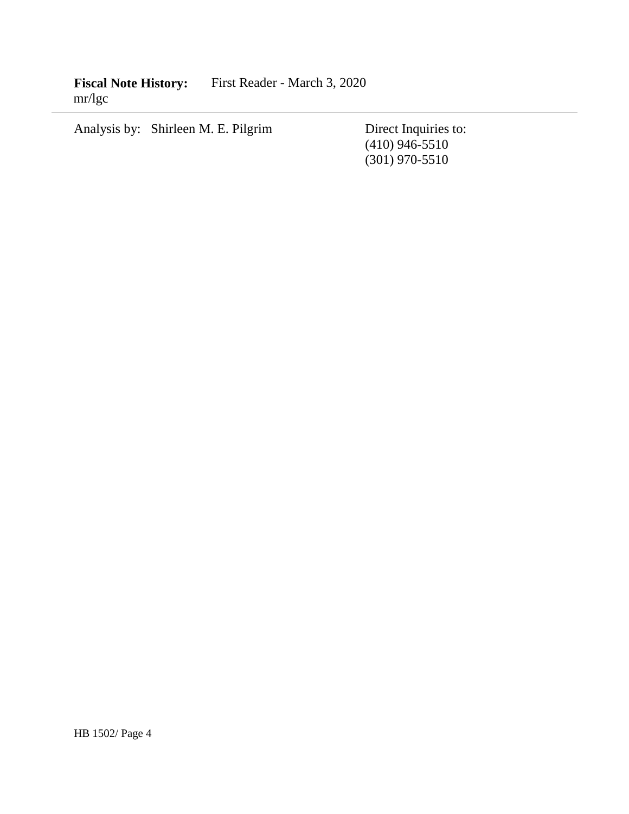**Fiscal Note History:** First Reader - March 3, 2020 mr/lgc

Analysis by: Shirleen M. E. Pilgrim Direct Inquiries to:

(410) 946-5510 (301) 970-5510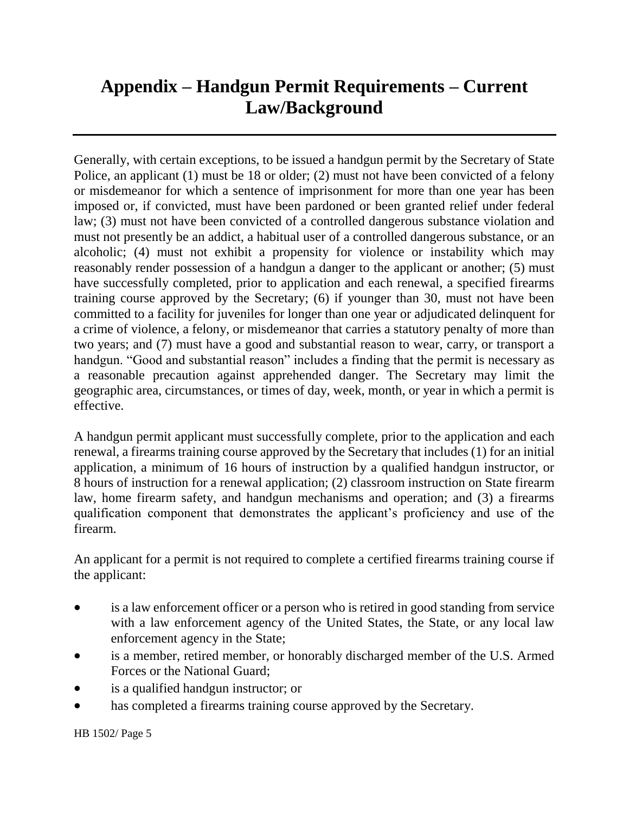# **Appendix – Handgun Permit Requirements – Current Law/Background**

Generally, with certain exceptions, to be issued a handgun permit by the Secretary of State Police, an applicant (1) must be 18 or older; (2) must not have been convicted of a felony or misdemeanor for which a sentence of imprisonment for more than one year has been imposed or, if convicted, must have been pardoned or been granted relief under federal law; (3) must not have been convicted of a controlled dangerous substance violation and must not presently be an addict, a habitual user of a controlled dangerous substance, or an alcoholic; (4) must not exhibit a propensity for violence or instability which may reasonably render possession of a handgun a danger to the applicant or another; (5) must have successfully completed, prior to application and each renewal, a specified firearms training course approved by the Secretary; (6) if younger than 30, must not have been committed to a facility for juveniles for longer than one year or adjudicated delinquent for a crime of violence, a felony, or misdemeanor that carries a statutory penalty of more than two years; and (7) must have a good and substantial reason to wear, carry, or transport a handgun. "Good and substantial reason" includes a finding that the permit is necessary as a reasonable precaution against apprehended danger. The Secretary may limit the geographic area, circumstances, or times of day, week, month, or year in which a permit is effective.

A handgun permit applicant must successfully complete, prior to the application and each renewal, a firearms training course approved by the Secretary that includes (1) for an initial application, a minimum of 16 hours of instruction by a qualified handgun instructor, or 8 hours of instruction for a renewal application; (2) classroom instruction on State firearm law, home firearm safety, and handgun mechanisms and operation; and (3) a firearms qualification component that demonstrates the applicant's proficiency and use of the firearm.

An applicant for a permit is not required to complete a certified firearms training course if the applicant:

- is a law enforcement officer or a person who is retired in good standing from service with a law enforcement agency of the United States, the State, or any local law enforcement agency in the State;
- is a member, retired member, or honorably discharged member of the U.S. Armed Forces or the National Guard;
- is a qualified handgun instructor; or
- has completed a firearms training course approved by the Secretary.

HB 1502/ Page 5